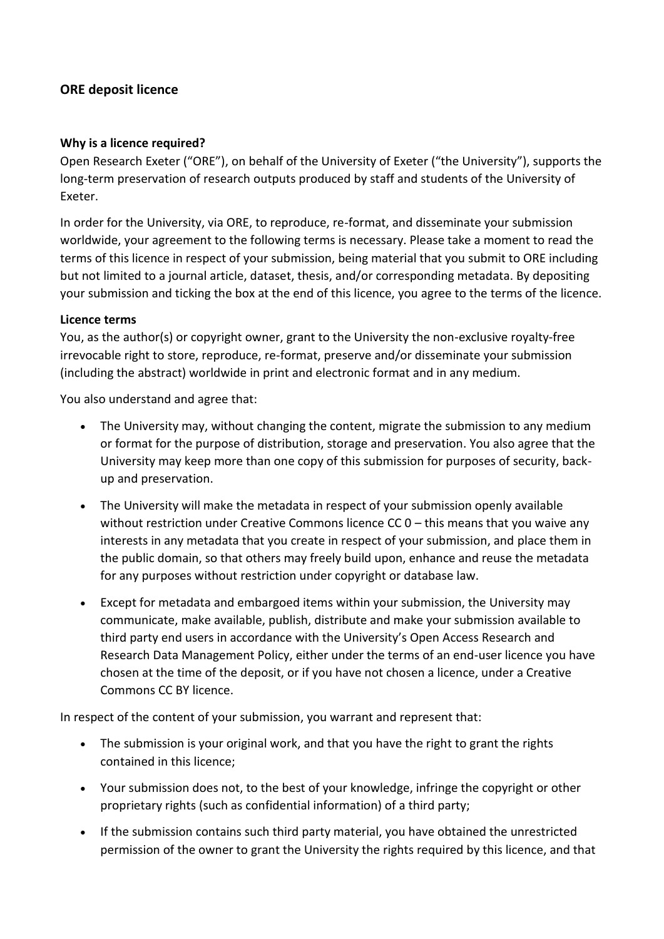## **ORE deposit licence**

## **Why is a licence required?**

Open Research Exeter ("ORE"), on behalf of the University of Exeter ("the University"), supports the long-term preservation of research outputs produced by staff and students of the University of Exeter.

In order for the University, via ORE, to reproduce, re-format, and disseminate your submission worldwide, your agreement to the following terms is necessary. Please take a moment to read the terms of this licence in respect of your submission, being material that you submit to ORE including but not limited to a journal article, dataset, thesis, and/or corresponding metadata. By depositing your submission and ticking the box at the end of this licence, you agree to the terms of the licence.

## **Licence terms**

You, as the author(s) or copyright owner, grant to the University the non-exclusive royalty-free irrevocable right to store, reproduce, re-format, preserve and/or disseminate your submission (including the abstract) worldwide in print and electronic format and in any medium.

You also understand and agree that:

- The University may, without changing the content, migrate the submission to any medium or format for the purpose of distribution, storage and preservation. You also agree that the University may keep more than one copy of this submission for purposes of security, backup and preservation.
- The University will make the metadata in respect of your submission openly available without restriction under Creative Commons licence CC 0 – this means that you waive any interests in any metadata that you create in respect of your submission, and place them in the public domain, so that others may freely build upon, enhance and reuse the metadata for any purposes without restriction under copyright or database law.
- Except for metadata and embargoed items within your submission, the University may communicate, make available, publish, distribute and make your submission available to third party end users in accordance with the University's Open Access Research and Research Data Management Policy, either under the terms of an end-user licence you have chosen at the time of the deposit, or if you have not chosen a licence, under a Creative Commons CC BY licence.

In respect of the content of your submission, you warrant and represent that:

- The submission is your original work, and that you have the right to grant the rights contained in this licence;
- Your submission does not, to the best of your knowledge, infringe the copyright or other proprietary rights (such as confidential information) of a third party;
- If the submission contains such third party material, you have obtained the unrestricted permission of the owner to grant the University the rights required by this licence, and that